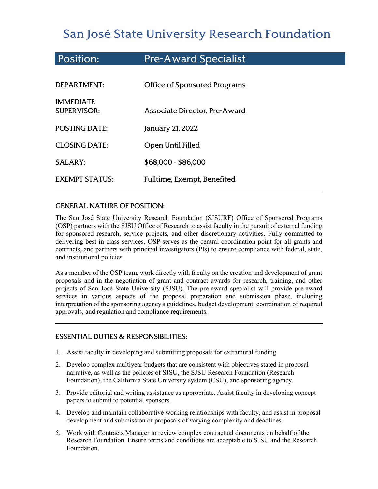# San José State University Research Foundation

| <b>Position:</b>                       | <b>Pre-Award Specialist</b>         |
|----------------------------------------|-------------------------------------|
| DEPARTMENT:                            | <b>Office of Sponsored Programs</b> |
| <b>IMMEDIATE</b><br><b>SUPERVISOR:</b> | Associate Director, Pre-Award       |
| <b>POSTING DATE:</b>                   | January 21, 2022                    |
| <b>CLOSING DATE:</b>                   | <b>Open Until Filled</b>            |
| <b>SALARY:</b>                         | \$68,000 - \$86,000                 |
| <b>EXEMPT STATUS:</b>                  | Fulltime, Exempt, Benefited         |

# GENERAL NATURE OF POSITION:

The San José State University Research Foundation (SJSURF) Office of Sponsored Programs (OSP) partners with the [SJSU Office of Research](http://www.sjsu.edu/research/) to assist faculty in the pursuit of external funding for sponsored research, service projects, and other discretionary activities. Fully committed to delivering best in class services, OSP serves as the central coordination point for all grants and contracts, and partners with principal investigators (PIs) to ensure compliance with federal, state, and institutional policies.

As a member of the OSP team, work directly with faculty on the creation and development of grant proposals and in the negotiation of grant and contract awards for research, training, and other projects of San José State University (SJSU). The pre-award specialist will provide pre-award services in various aspects of the proposal preparation and submission phase, including interpretation of the sponsoring agency's guidelines, budget development, coordination of required approvals, and regulation and compliance requirements.

# ESSENTIAL DUTIES & RESPONSIBILITIES:

- 1. Assist faculty in developing and submitting proposals for extramural funding.
- 2. Develop complex multiyear budgets that are consistent with objectives stated in proposal narrative, as well as the policies of SJSU, the SJSU Research Foundation (Research Foundation), the California State University system (CSU), and sponsoring agency.
- 3. Provide editorial and writing assistance as appropriate. Assist faculty in developing concept papers to submit to potential sponsors.
- 4. Develop and maintain collaborative working relationships with faculty, and assist in proposal development and submission of proposals of varying complexity and deadlines.
- 5. Work with Contracts Manager to review complex contractual documents on behalf of the Research Foundation. Ensure terms and conditions are acceptable to SJSU and the Research Foundation.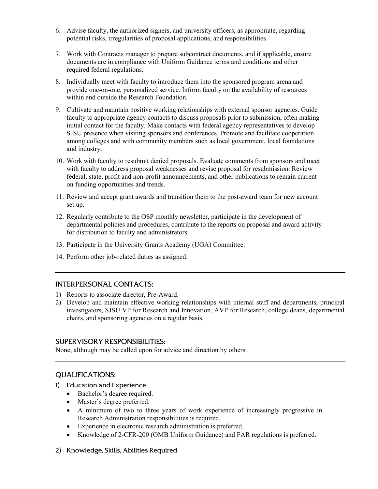- 6. Advise faculty, the authorized signers, and university officers, as appropriate, regarding potential risks, irregularities of proposal applications, and responsibilities.
- 7. Work with Contracts manager to prepare subcontract documents, and if applicable, ensure documents are in compliance with Uniform Guidance terms and conditions and other required federal regulations.
- 8. Individually meet with faculty to introduce them into the sponsored program arena and provide one-on-one, personalized service. Inform faculty on the availability of resources within and outside the Research Foundation.
- 9. Cultivate and maintain positive working relationships with external sponsor agencies. Guide faculty to appropriate agency contacts to discuss proposals prior to submission, often making initial contact for the faculty. Make contacts with federal agency representatives to develop SJSU presence when visiting sponsors and conferences. Promote and facilitate cooperation among colleges and with community members such as local government, local foundations and industry.
- 10. Work with faculty to resubmit denied proposals. Evaluate comments from sponsors and meet with faculty to address proposal weaknesses and revise proposal for resubmission. Review federal, state, profit and non-profit announcements, and other publications to remain current on funding opportunities and trends.
- 11. Review and accept grant awards and transition them to the post-award team for new account set up.
- 12. Regularly contribute to the OSP monthly newsletter, participate in the development of departmental policies and procedures, contribute to the reports on proposal and award activity for distribution to faculty and administrators.
- 13. Participate in the University Grants Academy (UGA) Committee.
- 14. Perform other job-related duties as assigned.

#### INTERPERSONAL CONTACTS:

- 1) Reports to associate director, Pre-Award.
- 2) Develop and maintain effective working relationships with internal staff and departments, principal investigators, SJSU VP for Research and Innovation, AVP for Research, college deans, departmental chairs, and sponsoring agencies on a regular basis.

#### SUPERVISORY RESPONSIBILITIES:

None, although may be called upon for advice and direction by others.

# QUALIFICATIONS:

- 1) Education and Experience
	- Bachelor's degree required.
	- Master's degree preferred.
	- A minimum of two to three years of work experience of increasingly progressive in Research Administration responsibilities is required.
	- Experience in electronic research administration is preferred.
	- Knowledge of 2-CFR-200 (OMB Uniform Guidance) and FAR regulations is preferred.
- 2) Knowledge, Skills, Abilities Required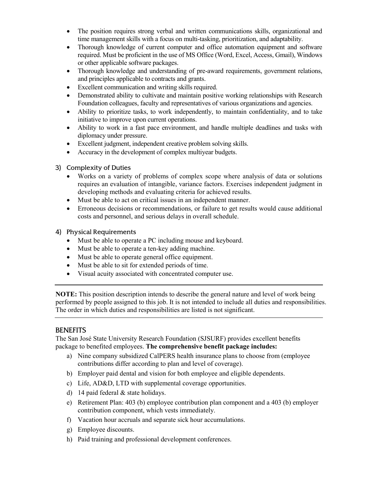- The position requires strong verbal and written communications skills, organizational and time management skills with a focus on multi-tasking, prioritization, and adaptability.
- Thorough knowledge of current computer and office automation equipment and software required. Must be proficient in the use of MS Office (Word, Excel, Access, Gmail), Windows or other applicable software packages.
- Thorough knowledge and understanding of pre-award requirements, government relations, and principles applicable to contracts and grants.
- Excellent communication and writing skills required.
- Demonstrated ability to cultivate and maintain positive working relationships with Research Foundation colleagues, faculty and representatives of various organizations and agencies.
- Ability to prioritize tasks, to work independently, to maintain confidentiality, and to take initiative to improve upon current operations.
- Ability to work in a fast pace environment, and handle multiple deadlines and tasks with diplomacy under pressure.
- Excellent judgment, independent creative problem solving skills.
- Accuracy in the development of complex multiyear budgets.

## 3) Complexity of Duties

- Works on a variety of problems of complex scope where analysis of data or solutions requires an evaluation of intangible, variance factors. Exercises independent judgment in developing methods and evaluating criteria for achieved results.
- Must be able to act on critical issues in an independent manner.
- Erroneous decisions or recommendations, or failure to get results would cause additional costs and personnel, and serious delays in overall schedule.

## 4) Physical Requirements

- Must be able to operate a PC including mouse and keyboard.
- Must be able to operate a ten-key adding machine.
- Must be able to operate general office equipment.
- Must be able to sit for extended periods of time.
- Visual acuity associated with concentrated computer use.

**NOTE:** This position description intends to describe the general nature and level of work being performed by people assigned to this job. It is not intended to include all duties and responsibilities. The order in which duties and responsibilities are listed is not significant.

# **BENEFITS**

The San José State University Research Foundation (SJSURF) provides excellent benefits package to benefited employees. **The comprehensive benefit package includes:**

- a) Nine company subsidized CalPERS health insurance plans to choose from (employee contributions differ according to plan and level of coverage).
- b) Employer paid dental and vision for both employee and eligible dependents.
- c) Life, AD&D, LTD with supplemental coverage opportunities.
- d) 14 paid federal & state holidays.
- e) Retirement Plan: 403 (b) employee contribution plan component and a 403 (b) employer contribution component, which vests immediately.
- f) Vacation hour accruals and separate sick hour accumulations.
- g) Employee discounts.
- h) Paid training and professional development conferences.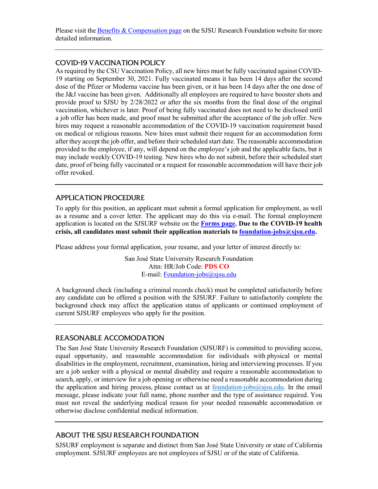Please visit the **Benefits & Compensation page** on the SJSU Research Foundation website for more detailed information.

## COVID-19 VACCINATION POLICY

As required by the CSU Vaccination Policy, all new hires must be fully vaccinated against COVID-19 starting on September 30, 2021. Fully vaccinated means it has been 14 days after the second dose of the Pfizer or Moderna vaccine has been given, or it has been 14 days after the one dose of the J&J vaccine has been given. Additionally all employees are required to have booster shots and provide proof to SJSU by 2/28/2022 or after the six months from the final dose of the original vaccination, whichever is later. Proof of being fully vaccinated does not need to be disclosed until a job offer has been made, and proof must be submitted after the acceptance of the job offer. New hires may request a reasonable accommodation of the COVID-19 vaccination requirement based on medical or religious reasons. New hires must submit their request for an accommodation form after they accept the job offer, and before their scheduled start date. The reasonable accommodation provided to the employee, if any, will depend on the employee's job and the applicable facts, but it may include weekly COVID-19 testing. New hires who do not submit, before their scheduled start date, proof of being fully vaccinated or a request for reasonable accommodation will have their job offer revoked.

## APPLICATION PROCEDURE

To apply for this position, an applicant must submit a formal application for employment, as well as a resume and a cover letter. The applicant may do this via e-mail. The formal employment application is located on the SJSURF website on the **[Forms page.](https://www.sjsu.edu/researchfoundation/resources/forms/index.php) Due to the COVID-19 health crisis, all candidates must submit their application materials to [foundation-jobs@sjsu.edu.](mailto:foundation-jobs@sjsu.edu)** 

Please address your formal application, your resume, and your letter of interest directly to:

San José State University Research Foundation Attn: HR/Job Code: **PDS CO** E-mail: [Foundation-jobs@sjsu.edu](mailto:Foundation-jobs@sjsu.edu)

A background check (including a criminal records check) must be completed satisfactorily before any candidate can be offered a position with the SJSURF. Failure to satisfactorily complete the background check may affect the application status of applicants or continued employment of current SJSURF employees who apply for the position.

# REASONABLE ACCOMODATION

The San José State University Research Foundation (SJSURF) is committed to providing access, equal opportunity, and reasonable accommodation for individuals with physical or mental disabilities in the employment, recruitment, examination, hiring and interviewing processes. If you are a job seeker with a physical or mental disability and require a reasonable accommodation to search, apply, or interview for a job opening or otherwise need a reasonable accommodation during the application and hiring process, please contact us at  $f$ <sub>0</sub> m  $\frac{1}{\cos(\alpha)}$ s isu.edu. In the email message, please indicate your full name, phone number and the type of assistance required. You must not reveal the underlying medical reason for your needed reasonable accommodation or otherwise disclose confidential medical information.

# ABOUT THE SJSU RESEARCH FOUNDATION

SJSURF employment is separate and distinct from San José State University or state of California employment. SJSURF employees are not employees of SJSU or of the state of California.